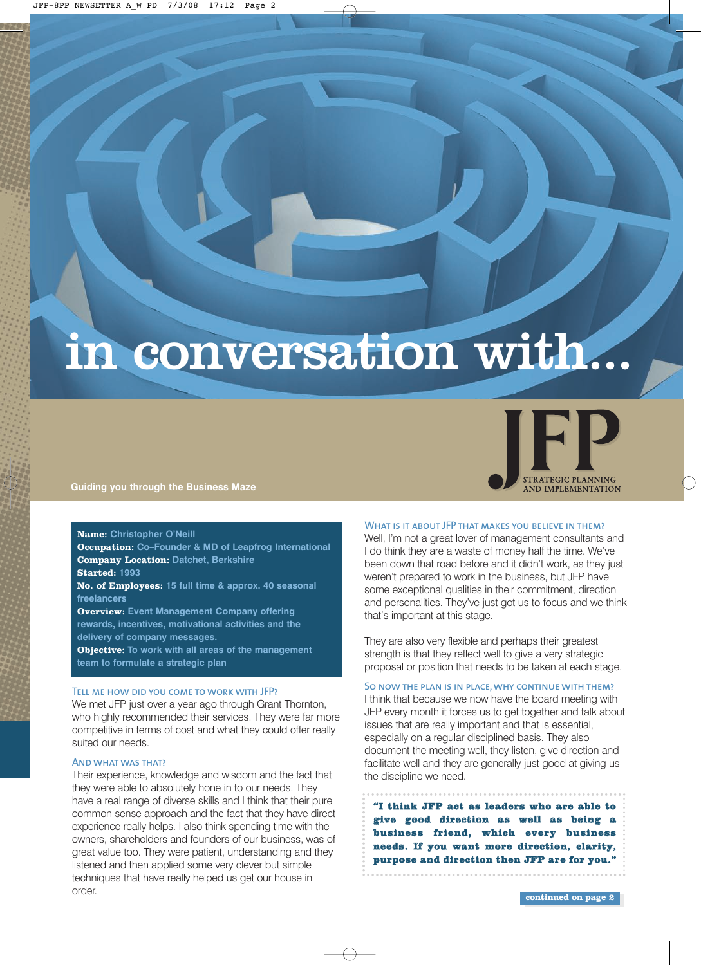# in conversation with...



**Guiding you through the Business Maze**

# **Name: Christopher O'Neill**

**Occupation:** Co–Founder & MD of Leapfrog International **Company Location:** Datchet, Berkshire<br>**Started:** 1993 **Started: 1993**

**No. of Employees: 15 full time & approx. 40 seasonal freelancers**

**Overview: Event Management Company offering rewards, incentives, motivational activities and the delivery of company messages.** 

**Objective: To work with all areas of the management team to formulate a strategic plan**

# Tell me how did you come to work with JFP?

We met JFP just over a year ago through Grant Thornton, who highly recommended their services. They were far more competitive in terms of cost and what they could offer really suited our needs.

# And what was that?

Their experience, knowledge and wisdom and the fact that they were able to absolutely hone in to our needs. They have a real range of diverse skills and I think that their pure common sense approach and the fact that they have direct experience really helps. I also think spending time with the owners, shareholders and founders of our business, was of great value too. They were patient, understanding and they listened and then applied some very clever but simple techniques that have really helped us get our house in order.

# WHAT IS IT ABOUT JFP THAT MAKES YOU BELIEVE IN THEM?

Well, I'm not a great lover of management consultants and I do think they are a waste of money half the time. We've been down that road before and it didn't work, as they just weren't prepared to work in the business, but JFP have some exceptional qualities in their commitment, direction and personalities. They've just got us to focus and we think that's important at this stage.

They are also very flexible and perhaps their greatest strength is that they reflect well to give a very strategic proposal or position that needs to be taken at each stage.

# So now the plan is in place, why continue with them?

I think that because we now have the board meeting with JFP every month it forces us to get together and talk about issues that are really important and that is essential, especially on a regular disciplined basis. They also document the meeting well, they listen, give direction and facilitate well and they are generally just good at giving us the discipline we need.

**"I think JFP act as leaders who are able to give good direction as well as being a business friend, which every business needs. If you want more direction, clarity, purpose and direction then JFP are for you."**

**continued on page 2**